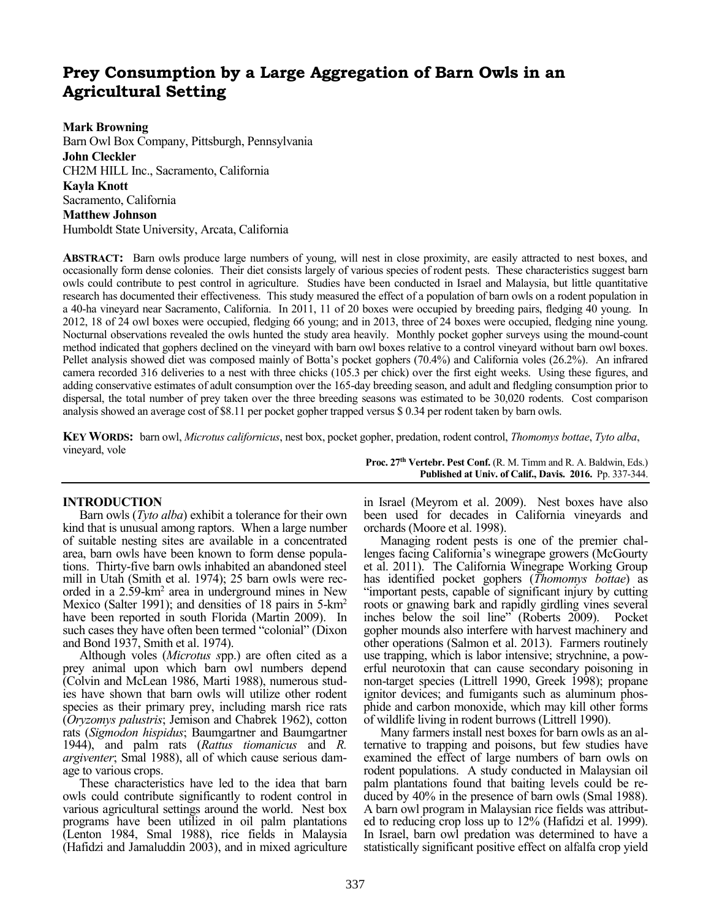# **Prey Consumption by a Large Aggregation of Barn Owls in an Agricultural Setting**

## **Mark Browning**

Barn Owl Box Company, Pittsburgh, Pennsylvania **John Cleckler**  CH2M HILL Inc., Sacramento, California **Kayla Knott**  Sacramento, California **Matthew Johnson**  Humboldt State University, Arcata, California

**ABSTRACT:** Barn owls produce large numbers of young, will nest in close proximity, are easily attracted to nest boxes, and occasionally form dense colonies. Their diet consists largely of various species of rodent pests. These characteristics suggest barn owls could contribute to pest control in agriculture. Studies have been conducted in Israel and Malaysia, but little quantitative research has documented their effectiveness. This study measured the effect of a population of barn owls on a rodent population in a 40-ha vineyard near Sacramento, California. In 2011, 11 of 20 boxes were occupied by breeding pairs, fledging 40 young. In 2012, 18 of 24 owl boxes were occupied, fledging 66 young; and in 2013, three of 24 boxes were occupied, fledging nine young. Nocturnal observations revealed the owls hunted the study area heavily. Monthly pocket gopher surveys using the mound-count method indicated that gophers declined on the vineyard with barn owl boxes relative to a control vineyard without barn owl boxes. Pellet analysis showed diet was composed mainly of Botta's pocket gophers (70.4%) and California voles (26.2%). An infrared camera recorded 316 deliveries to a nest with three chicks (105.3 per chick) over the first eight weeks. Using these figures, and adding conservative estimates of adult consumption over the 165-day breeding season, and adult and fledgling consumption prior to dispersal, the total number of prey taken over the three breeding seasons was estimated to be 30,020 rodents. Cost comparison analysis showed an average cost of \$8.11 per pocket gopher trapped versus \$ 0.34 per rodent taken by barn owls.

**KEY WORDS:** barn owl, *Microtus californicus*, nest box, pocket gopher, predation, rodent control, *Thomomys bottae*, *Tyto alba*, vineyard, vole **Proc. 27th Vertebr. Pest Conf.** (R. M. Timm and R. A. Baldwin, Eds.)

## **INTRODUCTION**

Barn owls (*Tyto alba*) exhibit a tolerance for their own kind that is unusual among raptors. When a large number of suitable nesting sites are available in a concentrated area, barn owls have been known to form dense populations. Thirty-five barn owls inhabited an abandoned steel mill in Utah (Smith et al. 1974); 25 barn owls were recorded in a 2.59-km<sup>2</sup> area in underground mines in New Mexico (Salter 1991); and densities of 18 pairs in 5-km<sup>2</sup> have been reported in south Florida (Martin 2009). In such cases they have often been termed "colonial" (Dixon and Bond 1937, Smith et al. 1974).

Although voles (*Microtus s*pp.) are often cited as a prey animal upon which barn owl numbers depend (Colvin and McLean 1986, Marti 1988), numerous studies have shown that barn owls will utilize other rodent species as their primary prey, including marsh rice rats (*Oryzomys palustris*; Jemison and Chabrek 1962), cotton rats (*Sigmodon hispidus*; Baumgartner and Baumgartner 1944), and palm rats (*Rattus tiomanicus* and *R. argiventer*; Smal 1988), all of which cause serious damage to various crops.

These characteristics have led to the idea that barn owls could contribute significantly to rodent control in various agricultural settings around the world. Nest box programs have been utilized in oil palm plantations (Lenton 1984, Smal 1988), rice fields in Malaysia (Hafidzi and Jamaluddin 2003), and in mixed agriculture

in Israel (Meyrom et al. 2009). Nest boxes have also been used for decades in California vineyards and orchards (Moore et al. 1998).

**Published at Univ. of Calif., Davis. 2016.** Pp. 337-344.

Managing rodent pests is one of the premier challenges facing California's winegrape growers (McGourty et al. 2011). The California Winegrape Working Group has identified pocket gophers (*Thomomys bottae*) as "important pests, capable of significant injury by cutting roots or gnawing bark and rapidly girdling vines several inches below the soil line" (Roberts 2009). Pocket gopher mounds also interfere with harvest machinery and other operations (Salmon et al. 2013). Farmers routinely use trapping, which is labor intensive; strychnine, a powerful neurotoxin that can cause secondary poisoning in non-target species (Littrell 1990, Greek 1998); propane ignitor devices; and fumigants such as aluminum phosphide and carbon monoxide, which may kill other forms of wildlife living in rodent burrows (Littrell 1990).

Many farmers install nest boxes for barn owls as an alternative to trapping and poisons, but few studies have examined the effect of large numbers of barn owls on rodent populations. A study conducted in Malaysian oil palm plantations found that baiting levels could be reduced by 40% in the presence of barn owls (Smal 1988). A barn owl program in Malaysian rice fields was attributed to reducing crop loss up to 12% (Hafidzi et al. 1999). In Israel, barn owl predation was determined to have a statistically significant positive effect on alfalfa crop yield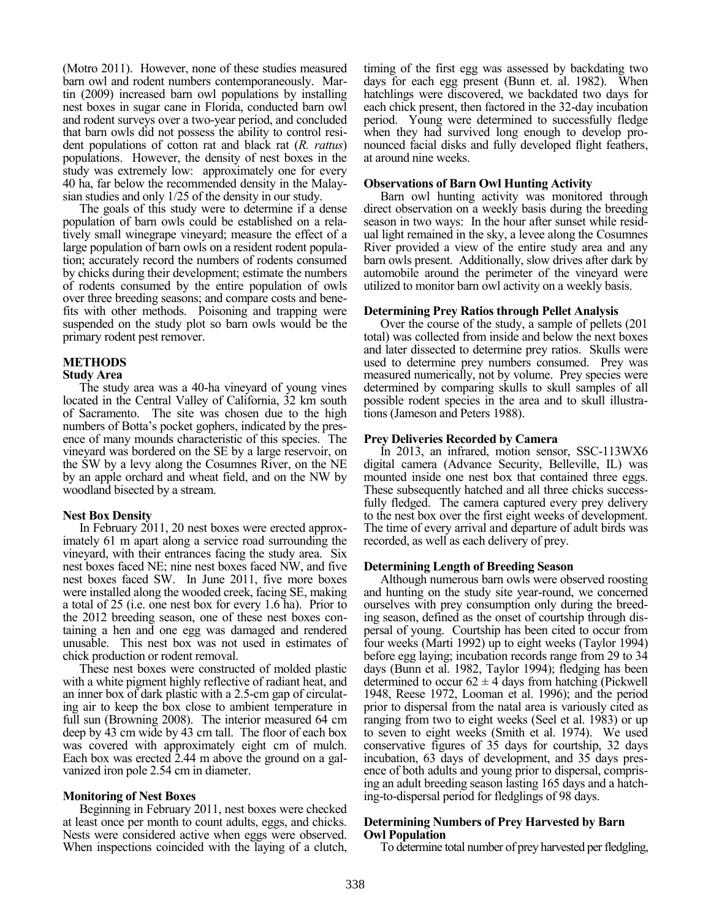(Motro 2011). However, none of these studies measured barn owl and rodent numbers contemporaneously. Martin (2009) increased barn owl populations by installing nest boxes in sugar cane in Florida, conducted barn owl and rodent surveys over a two-year period, and concluded that barn owls did not possess the ability to control resident populations of cotton rat and black rat (*R. rattus*) populations. However, the density of nest boxes in the study was extremely low: approximately one for every 40 ha, far below the recommended density in the Malaysian studies and only 1/25 of the density in our study.

The goals of this study were to determine if a dense population of barn owls could be established on a relatively small winegrape vineyard; measure the effect of a large population of barn owls on a resident rodent population; accurately record the numbers of rodents consumed by chicks during their development; estimate the numbers of rodents consumed by the entire population of owls over three breeding seasons; and compare costs and benefits with other methods. Poisoning and trapping were suspended on the study plot so barn owls would be the primary rodent pest remover.

## **METHODS**

#### **Study Area**

The study area was a 40-ha vineyard of young vines located in the Central Valley of California, 32 km south of Sacramento. The site was chosen due to the high numbers of Botta's pocket gophers, indicated by the presence of many mounds characteristic of this species. The vineyard was bordered on the SE by a large reservoir, on the SW by a levy along the Cosumnes River, on the NE by an apple orchard and wheat field, and on the NW by woodland bisected by a stream.

## **Nest Box Density**

In February 2011, 20 nest boxes were erected approximately 61 m apart along a service road surrounding the vineyard, with their entrances facing the study area. Six nest boxes faced NE; nine nest boxes faced NW, and five nest boxes faced SW. In June 2011, five more boxes were installed along the wooded creek, facing SE, making a total of 25 (i.e. one nest box for every 1.6 ha). Prior to the 2012 breeding season, one of these nest boxes containing a hen and one egg was damaged and rendered unusable. This nest box was not used in estimates of chick production or rodent removal.

These nest boxes were constructed of molded plastic with a white pigment highly reflective of radiant heat, and an inner box of dark plastic with a 2.5-cm gap of circulating air to keep the box close to ambient temperature in full sun (Browning 2008). The interior measured 64 cm deep by 43 cm wide by 43 cm tall. The floor of each box was covered with approximately eight cm of mulch. Each box was erected 2.44 m above the ground on a galvanized iron pole 2.54 cm in diameter.

## **Monitoring of Nest Boxes**

Beginning in February 2011, nest boxes were checked at least once per month to count adults, eggs, and chicks. Nests were considered active when eggs were observed. When inspections coincided with the laying of a clutch, timing of the first egg was assessed by backdating two days for each egg present (Bunn et. al. 1982). When hatchlings were discovered, we backdated two days for each chick present, then factored in the 32-day incubation period. Young were determined to successfully fledge when they had survived long enough to develop pronounced facial disks and fully developed flight feathers, at around nine weeks.

## **Observations of Barn Owl Hunting Activity**

Barn owl hunting activity was monitored through direct observation on a weekly basis during the breeding season in two ways: In the hour after sunset while residual light remained in the sky, a levee along the Cosumnes River provided a view of the entire study area and any barn owls present. Additionally, slow drives after dark by automobile around the perimeter of the vineyard were utilized to monitor barn owl activity on a weekly basis.

## **Determining Prey Ratios through Pellet Analysis**

Over the course of the study, a sample of pellets (201 total) was collected from inside and below the next boxes and later dissected to determine prey ratios. Skulls were used to determine prey numbers consumed. Prey was measured numerically, not by volume. Prey species were determined by comparing skulls to skull samples of all possible rodent species in the area and to skull illustrations (Jameson and Peters 1988).

## **Prey Deliveries Recorded by Camera**

In 2013, an infrared, motion sensor, SSC-113WX6 digital camera (Advance Security, Belleville, IL) was mounted inside one nest box that contained three eggs. These subsequently hatched and all three chicks successfully fledged. The camera captured every prey delivery to the nest box over the first eight weeks of development. The time of every arrival and departure of adult birds was recorded, as well as each delivery of prey.

## **Determining Length of Breeding Season**

Although numerous barn owls were observed roosting and hunting on the study site year-round, we concerned ourselves with prey consumption only during the breeding season, defined as the onset of courtship through dispersal of young. Courtship has been cited to occur from four weeks (Marti 1992) up to eight weeks (Taylor 1994) before egg laying; incubation records range from 29 to 34 days (Bunn et al. 1982, Taylor 1994); fledging has been determined to occur  $62 \pm 4$  days from hatching (Pickwell 1948, Reese 1972, Looman et al. 1996); and the period prior to dispersal from the natal area is variously cited as ranging from two to eight weeks (Seel et al. 1983) or up to seven to eight weeks (Smith et al. 1974). We used conservative figures of 35 days for courtship, 32 days incubation, 63 days of development, and 35 days presence of both adults and young prior to dispersal, comprising an adult breeding season lasting 165 days and a hatching-to-dispersal period for fledglings of 98 days.

## **Determining Numbers of Prey Harvested by Barn Owl Population**

To determine total number of prey harvested per fledgling,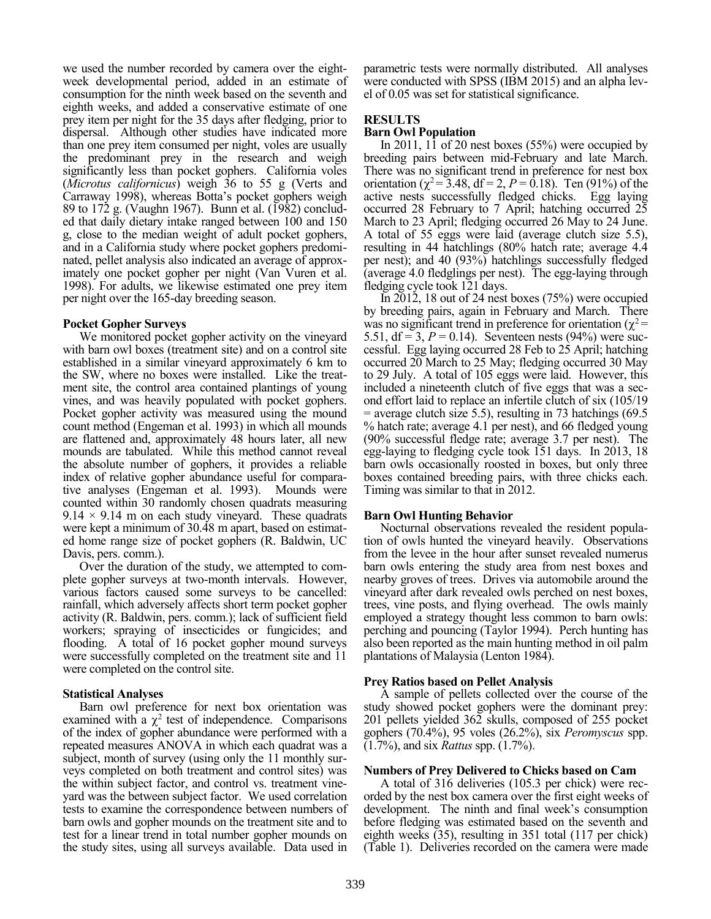we used the number recorded by camera over the eightweek developmental period, added in an estimate of consumption for the ninth week based on the seventh and eighth weeks, and added a conservative estimate of one prey item per night for the 35 days after fledging, prior to dispersal. Although other studies have indicated more than one prey item consumed per night, voles are usually the predominant prey in the research and weigh significantly less than pocket gophers. California voles (*Microtus californicus*) weigh 36 to 55 g (Verts and Carraway 1998), whereas Botta's pocket gophers weigh 89 to 172 g. (Vaughn 1967). Bunn et al. (1982) concluded that daily dietary intake ranged between 100 and 150 g, close to the median weight of adult pocket gophers, and in a California study where pocket gophers predominated, pellet analysis also indicated an average of approximately one pocket gopher per night (Van Vuren et al. 1998). For adults, we likewise estimated one prey item per night over the 165-day breeding season.

## **Pocket Gopher Surveys**

We monitored pocket gopher activity on the vineyard with barn owl boxes (treatment site) and on a control site established in a similar vineyard approximately 6 km to the SW, where no boxes were installed. Like the treatment site, the control area contained plantings of young vines, and was heavily populated with pocket gophers. Pocket gopher activity was measured using the mound count method (Engeman et al. 1993) in which all mounds are flattened and, approximately 48 hours later, all new mounds are tabulated. While this method cannot reveal the absolute number of gophers, it provides a reliable index of relative gopher abundance useful for comparative analyses (Engeman et al. 1993). Mounds were counted within 30 randomly chosen quadrats measuring  $9.14 \times 9.14$  m on each study vineyard. These quadrats were kept a minimum of 30.48 m apart, based on estimated home range size of pocket gophers (R. Baldwin, UC Davis, pers. comm.).

Over the duration of the study, we attempted to complete gopher surveys at two-month intervals. However, various factors caused some surveys to be cancelled: rainfall, which adversely affects short term pocket gopher activity (R. Baldwin, pers. comm.); lack of sufficient field workers; spraying of insecticides or fungicides; and flooding. A total of 16 pocket gopher mound surveys were successfully completed on the treatment site and 11 were completed on the control site.

## **Statistical Analyses**

Barn owl preference for next box orientation was examined with a  $\chi^2$  test of independence. Comparisons of the index of gopher abundance were performed with a repeated measures ANOVA in which each quadrat was a subject, month of survey (using only the 11 monthly surveys completed on both treatment and control sites) was the within subject factor, and control vs. treatment vineyard was the between subject factor. We used correlation tests to examine the correspondence between numbers of barn owls and gopher mounds on the treatment site and to test for a linear trend in total number gopher mounds on the study sites, using all surveys available. Data used in

parametric tests were normally distributed. All analyses were conducted with SPSS (IBM 2015) and an alpha level of 0.05 was set for statistical significance.

## **RESULTS**

## **Barn Owl Population**

In 2011, 11 of 20 nest boxes (55%) were occupied by breeding pairs between mid-February and late March. There was no significant trend in preference for nest box orientation ( $\chi^2$ = 3.48, df = 2, *P* = 0.18). Ten (91%) of the active nests successfully fledged chicks. Egg laying occurred 28 February to 7 April; hatching occurred 25 March to 23 April; fledging occurred 26 May to 24 June. A total of 55 eggs were laid (average clutch size 5.5), resulting in 44 hatchlings (80% hatch rate; average 4.4 per nest); and 40 (93%) hatchlings successfully fledged (average 4.0 fledglings per nest). The egg-laying through fledging cycle took 121 days.

In 2012, 18 out of 24 nest boxes (75%) were occupied by breeding pairs, again in February and March. There was no significant trend in preference for orientation ( $\chi^2$  = 5.51,  $df = 3$ ,  $P = 0.14$ ). Seventeen nests (94%) were successful. Egg laying occurred 28 Feb to 25 April; hatching occurred 20 March to 25 May; fledging occurred 30 May to 29 July. A total of 105 eggs were laid. However, this included a nineteenth clutch of five eggs that was a second effort laid to replace an infertile clutch of six (105/19  $=$  average clutch size 5.5), resulting in 73 hatchings (69.5) % hatch rate; average 4.1 per nest), and 66 fledged young (90% successful fledge rate; average 3.7 per nest). The egg-laying to fledging cycle took 151 days. In 2013, 18 barn owls occasionally roosted in boxes, but only three boxes contained breeding pairs, with three chicks each. Timing was similar to that in 2012.

## **Barn Owl Hunting Behavior**

Nocturnal observations revealed the resident population of owls hunted the vineyard heavily. Observations from the levee in the hour after sunset revealed numerus barn owls entering the study area from nest boxes and nearby groves of trees. Drives via automobile around the vineyard after dark revealed owls perched on nest boxes, trees, vine posts, and flying overhead. The owls mainly employed a strategy thought less common to barn owls: perching and pouncing (Taylor 1994). Perch hunting has also been reported as the main hunting method in oil palm plantations of Malaysia (Lenton 1984).

## **Prey Ratios based on Pellet Analysis**

A sample of pellets collected over the course of the study showed pocket gophers were the dominant prey: 201 pellets yielded 362 skulls, composed of 255 pocket gophers (70.4%), 95 voles (26.2%), six *Peromyscus* spp. (1.7%), and six *Rattus* spp. (1.7%).

## **Numbers of Prey Delivered to Chicks based on Cam**

A total of 316 deliveries (105.3 per chick) were recorded by the nest box camera over the first eight weeks of development. The ninth and final week's consumption before fledging was estimated based on the seventh and eighth weeks (35), resulting in 351 total (117 per chick) (Table 1). Deliveries recorded on the camera were made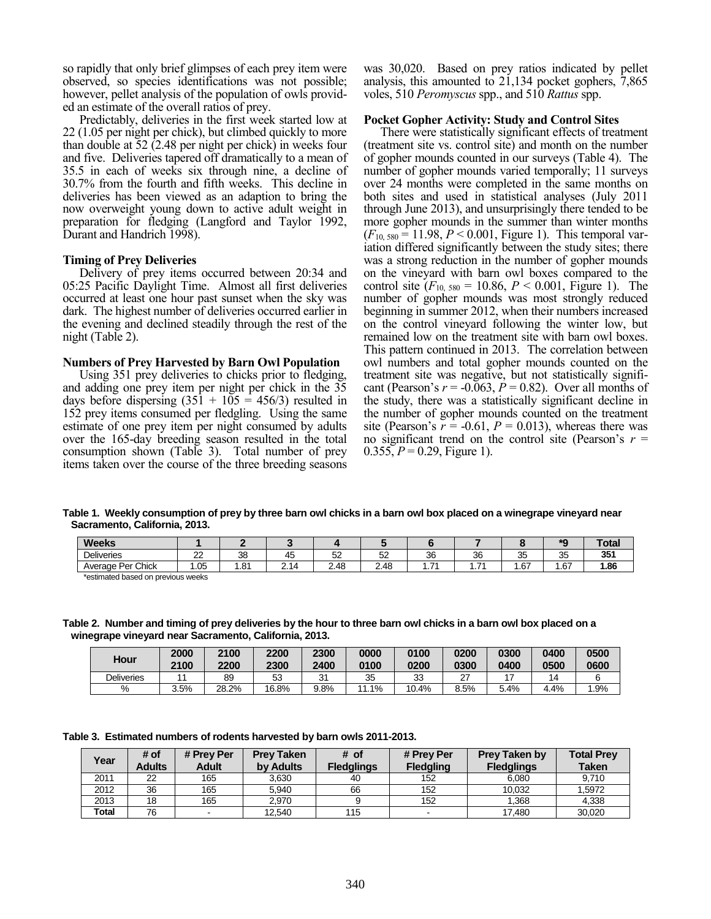so rapidly that only brief glimpses of each prey item were observed, so species identifications was not possible; however, pellet analysis of the population of owls provided an estimate of the overall ratios of prey.

Predictably, deliveries in the first week started low at 22 (1.05 per night per chick), but climbed quickly to more than double at 52 (2.48 per night per chick) in weeks four and five. Deliveries tapered off dramatically to a mean of 35.5 in each of weeks six through nine, a decline of 30.7% from the fourth and fifth weeks. This decline in deliveries has been viewed as an adaption to bring the now overweight young down to active adult weight in preparation for fledging (Langford and Taylor 1992, Durant and Handrich 1998).

## **Timing of Prey Deliveries**

Delivery of prey items occurred between 20:34 and 05:25 Pacific Daylight Time. Almost all first deliveries occurred at least one hour past sunset when the sky was dark. The highest number of deliveries occurred earlier in the evening and declined steadily through the rest of the night (Table 2).

## **Numbers of Prey Harvested by Barn Owl Population**

Using 351 prey deliveries to chicks prior to fledging, and adding one prey item per night per chick in the 35 days before dispersing  $(351 + 105 = 456/3)$  resulted in 152 prey items consumed per fledgling. Using the same estimate of one prey item per night consumed by adults over the 165-day breeding season resulted in the total consumption shown (Table 3). Total number of prey items taken over the course of the three breeding seasons was 30,020. Based on prey ratios indicated by pellet analysis, this amounted to 21,134 pocket gophers, 7,865 voles, 510 *Peromyscus* spp., and 510 *Rattus* spp.

## **Pocket Gopher Activity: Study and Control Sites**

There were statistically significant effects of treatment (treatment site vs. control site) and month on the number of gopher mounds counted in our surveys (Table 4). The number of gopher mounds varied temporally; 11 surveys over 24 months were completed in the same months on both sites and used in statistical analyses (July 2011 through June 2013), and unsurprisingly there tended to be more gopher mounds in the summer than winter months  $(F_{10, 580} = 11.98, P \le 0.001,$  Figure 1). This temporal variation differed significantly between the study sites; there was a strong reduction in the number of gopher mounds on the vineyard with barn owl boxes compared to the control site  $(F_{10, 580} = 10.86, P < 0.001,$  Figure 1). The number of gopher mounds was most strongly reduced beginning in summer 2012, when their numbers increased on the control vineyard following the winter low, but remained low on the treatment site with barn owl boxes. This pattern continued in 2013. The correlation between owl numbers and total gopher mounds counted on the treatment site was negative, but not statistically significant (Pearson's  $r = -0.063$ ,  $P = 0.82$ ). Over all months of the study, there was a statistically significant decline in the number of gopher mounds counted on the treatment site (Pearson's  $r = -0.61$ ,  $P = 0.013$ ), whereas there was no significant trend on the control site (Pearson's  $r =$ 0.355,  $P = 0.29$ , Figure 1).

**Table 1. Weekly consumption of prey by three barn owl chicks in a barn owl box placed on a winegrape vineyard near Sacramento, California, 2013.** 

| <b>Weeks</b>      |          |     |                                |            |             |                               |         |                   |              | `otal    |
|-------------------|----------|-----|--------------------------------|------------|-------------|-------------------------------|---------|-------------------|--------------|----------|
| <b>Deliveries</b> | nn<br>__ | 38  | $\overline{\phantom{0}}$<br>4Ł | --<br>JΔ   | $\sim$<br>ັ | 36                            | 36      | $\sim$<br>--<br>w | $\sim$<br>ູບ | 351<br>ື |
| Average Per Chick | .05      | .81 | <b>.</b><br><u>.</u>           | ΔЯ<br>2.70 | 2.48        | $\overline{\phantom{0}}$<br>. | 74<br>. | .67               | .67          | .86،     |

\*estimated based on previous weeks

**Table 2. Number and timing of prey deliveries by the hour to three barn owl chicks in a barn owl box placed on a winegrape vineyard near Sacramento, California, 2013.** 

| Hour              | 2000<br>2100 | 2100<br>2200 | 2200<br>2300 | 2300<br>2400 | 0000<br>0100 | 0100<br>0200 | 0200<br>0300 | 0300<br>0400 | 0400<br>0500 | 0500<br>0600 |
|-------------------|--------------|--------------|--------------|--------------|--------------|--------------|--------------|--------------|--------------|--------------|
| <b>Deliveries</b> |              | 89           | 53           | $\sim$<br>ັ  | 35           | 33           | ~-<br>∸      |              | 14           |              |
| %                 | 3.5%         | 28.2%        | 16.8%        | 9.8%         | 1.1%<br>44   | 10.4%        | 8.5%         | 5.4%         | 4.4%         | .9%          |

**Table 3. Estimated numbers of rodents harvested by barn owls 2011-2013.**

| Year         | # of<br><b>Adults</b> | # Prey Per<br><b>Adult</b> | <b>Prey Taken</b><br>by Adults | $#$ of<br><b>Fledglings</b> | # Prey Per<br><b>Fledgling</b> | Prey Taken by<br><b>Fledglings</b> | <b>Total Prey</b><br><b>Taken</b> |
|--------------|-----------------------|----------------------------|--------------------------------|-----------------------------|--------------------------------|------------------------------------|-----------------------------------|
| 2011         | 22                    | 165                        | 3.630                          | 40                          | 152                            | 6.080                              | 9.710                             |
| 2012         | 36                    | 165                        | 5.940                          | 66                          | 152                            | 10.032                             | 1.5972                            |
| 2013         | 18                    | 165                        | 2.970                          |                             | 152                            | 1.368                              | 4.338                             |
| <b>Total</b> | 76                    |                            | 12.540                         | 115                         | $\sim$                         | 17,480                             | 30,020                            |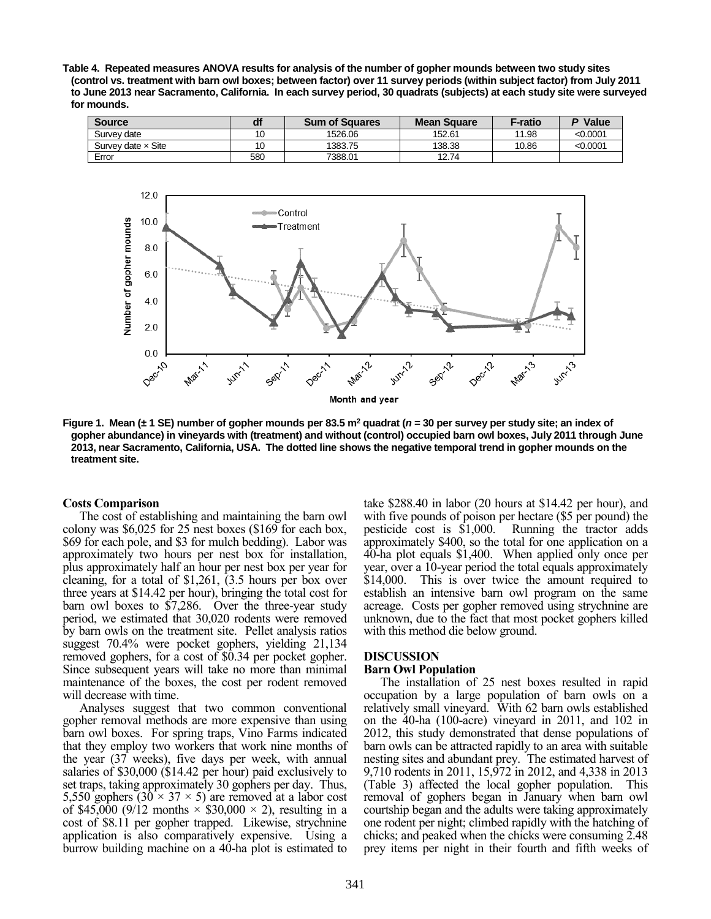**Table 4. Repeated measures ANOVA results for analysis of the number of gopher mounds between two study sites (control vs. treatment with barn owl boxes; between factor) over 11 survey periods (within subject factor) from July 2011 to June 2013 near Sacramento, California. In each survey period, 30 quadrats (subjects) at each study site were surveyed for mounds.** 

| <b>Source</b>             |     | <b>Sum of Squares</b> | <b>Mean Square</b> | F-ratio | P Value  |
|---------------------------|-----|-----------------------|--------------------|---------|----------|
| Survev date               | 10  | 1526.06               | 152.61             | 11.98   | <0.0001  |
| Survey date $\times$ Site | 10  | 1383.75               | 138.38             | 10.86   | < 0.0001 |
| Error                     | 580 | 7388.01               | 12.74              |         |          |



**Figure 1. Mean (± 1 SE) number of gopher mounds per 83.5 m<sup>2</sup> quadrat (***n* **= 30 per survey per study site; an index of gopher abundance) in vineyards with (treatment) and without (control) occupied barn owl boxes, July 2011 through June 2013, near Sacramento, California, USA. The dotted line shows the negative temporal trend in gopher mounds on the treatment site.** 

#### **Costs Comparison**

The cost of establishing and maintaining the barn owl colony was \$6,025 for 25 nest boxes (\$169 for each box, \$69 for each pole, and \$3 for mulch bedding). Labor was approximately two hours per nest box for installation, plus approximately half an hour per nest box per year for cleaning, for a total of \$1,261, (3.5 hours per box over three years at \$14.42 per hour), bringing the total cost for barn owl boxes to \$7,286. Over the three-year study period, we estimated that 30,020 rodents were removed by barn owls on the treatment site. Pellet analysis ratios suggest 70.4% were pocket gophers, yielding 21,134 removed gophers, for a cost of \$0.34 per pocket gopher. Since subsequent years will take no more than minimal maintenance of the boxes, the cost per rodent removed will decrease with time.

Analyses suggest that two common conventional gopher removal methods are more expensive than using barn owl boxes. For spring traps, Vino Farms indicated that they employ two workers that work nine months of the year (37 weeks), five days per week, with annual salaries of \$30,000 (\$14.42 per hour) paid exclusively to set traps, taking approximately 30 gophers per day. Thus, 5,550 gophers  $(30 \times 37 \times 5)$  are removed at a labor cost of \$45,000 (9/12 months  $\times$  \$30,000  $\times$  2), resulting in a cost of \$8.11 per gopher trapped. Likewise, strychnine application is also comparatively expensive. Using a burrow building machine on a 40-ha plot is estimated to take \$288.40 in labor (20 hours at \$14.42 per hour), and with five pounds of poison per hectare (\$5 per pound) the pesticide cost is \$1,000. Running the tractor adds approximately \$400, so the total for one application on a 40-ha plot equals \$1,400. When applied only once per year, over a 10-year period the total equals approximately \$14,000. This is over twice the amount required to establish an intensive barn owl program on the same acreage. Costs per gopher removed using strychnine are unknown, due to the fact that most pocket gophers killed with this method die below ground.

## **DISCUSSION**

## **Barn Owl Population**

The installation of 25 nest boxes resulted in rapid occupation by a large population of barn owls on a relatively small vineyard. With 62 barn owls established on the 40-ha (100-acre) vineyard in 2011, and 102 in 2012, this study demonstrated that dense populations of barn owls can be attracted rapidly to an area with suitable nesting sites and abundant prey. The estimated harvest of 9,710 rodents in 2011, 15,972 in 2012, and 4,338 in 2013 (Table 3) affected the local gopher population. This removal of gophers began in January when barn owl courtship began and the adults were taking approximately one rodent per night; climbed rapidly with the hatching of chicks; and peaked when the chicks were consuming 2.48 prey items per night in their fourth and fifth weeks of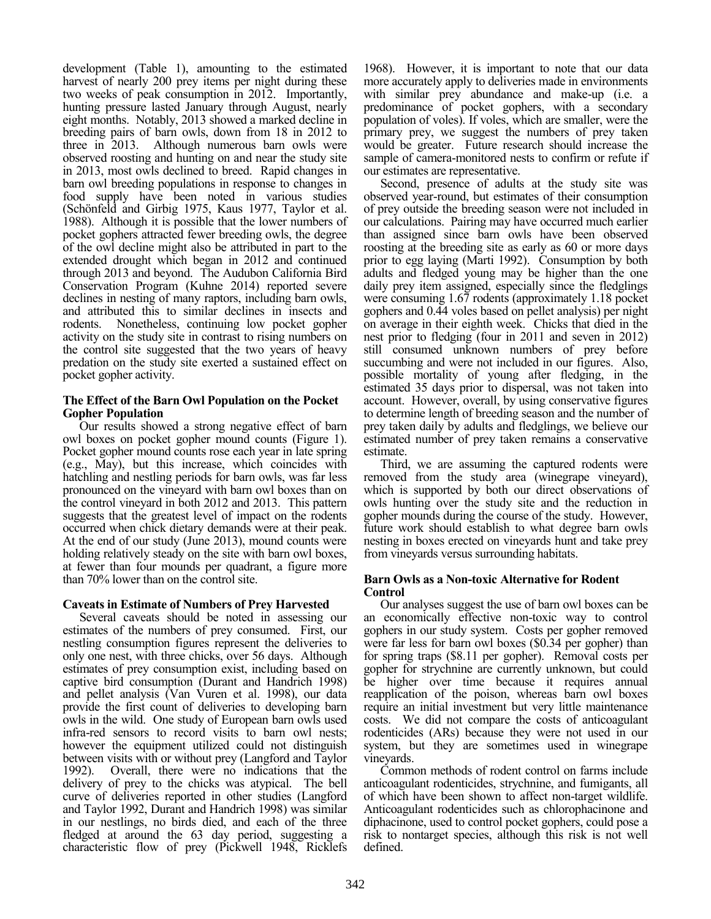development (Table 1), amounting to the estimated harvest of nearly 200 prey items per night during these two weeks of peak consumption in 2012. Importantly, hunting pressure lasted January through August, nearly eight months. Notably, 2013 showed a marked decline in breeding pairs of barn owls, down from 18 in 2012 to three in 2013. Although numerous barn owls were observed roosting and hunting on and near the study site in 2013, most owls declined to breed. Rapid changes in barn owl breeding populations in response to changes in food supply have been noted in various studies (Schönfeld and Girbig 1975, Kaus 1977, Taylor et al. 1988). Although it is possible that the lower numbers of pocket gophers attracted fewer breeding owls, the degree of the owl decline might also be attributed in part to the extended drought which began in 2012 and continued through 2013 and beyond. The Audubon California Bird Conservation Program (Kuhne 2014) reported severe declines in nesting of many raptors, including barn owls, and attributed this to similar declines in insects and rodents. Nonetheless, continuing low pocket gopher activity on the study site in contrast to rising numbers on the control site suggested that the two years of heavy predation on the study site exerted a sustained effect on pocket gopher activity.

## **The Effect of the Barn Owl Population on the Pocket Gopher Population**

Our results showed a strong negative effect of barn owl boxes on pocket gopher mound counts (Figure 1). Pocket gopher mound counts rose each year in late spring (e.g., May), but this increase, which coincides with hatchling and nestling periods for barn owls, was far less pronounced on the vineyard with barn owl boxes than on the control vineyard in both 2012 and 2013. This pattern suggests that the greatest level of impact on the rodents occurred when chick dietary demands were at their peak. At the end of our study (June 2013), mound counts were holding relatively steady on the site with barn owl boxes, at fewer than four mounds per quadrant, a figure more than 70% lower than on the control site.

## **Caveats in Estimate of Numbers of Prey Harvested**

Several caveats should be noted in assessing our estimates of the numbers of prey consumed. First, our nestling consumption figures represent the deliveries to only one nest, with three chicks, over 56 days. Although estimates of prey consumption exist, including based on captive bird consumption (Durant and Handrich 1998) and pellet analysis (Van Vuren et al. 1998), our data provide the first count of deliveries to developing barn owls in the wild. One study of European barn owls used infra-red sensors to record visits to barn owl nests; however the equipment utilized could not distinguish between visits with or without prey (Langford and Taylor 1992). Overall, there were no indications that the delivery of prey to the chicks was atypical. The bell curve of deliveries reported in other studies (Langford and Taylor 1992, Durant and Handrich 1998) was similar in our nestlings, no birds died, and each of the three fledged at around the 63 day period, suggesting a characteristic flow of prey (Pickwell 1948, Ricklefs

1968). However, it is important to note that our data more accurately apply to deliveries made in environments with similar prey abundance and make-up (i.e. a predominance of pocket gophers, with a secondary population of voles). If voles, which are smaller, were the primary prey, we suggest the numbers of prey taken would be greater. Future research should increase the sample of camera-monitored nests to confirm or refute if our estimates are representative.

Second, presence of adults at the study site was observed year-round, but estimates of their consumption of prey outside the breeding season were not included in our calculations. Pairing may have occurred much earlier than assigned since barn owls have been observed roosting at the breeding site as early as 60 or more days prior to egg laying (Marti 1992). Consumption by both adults and fledged young may be higher than the one daily prey item assigned, especially since the fledglings were consuming 1.67 rodents (approximately 1.18 pocket gophers and 0.44 voles based on pellet analysis) per night on average in their eighth week. Chicks that died in the nest prior to fledging (four in 2011 and seven in 2012) still consumed unknown numbers of prey before succumbing and were not included in our figures. Also, possible mortality of young after fledging, in the estimated 35 days prior to dispersal, was not taken into account. However, overall, by using conservative figures to determine length of breeding season and the number of prey taken daily by adults and fledglings, we believe our estimated number of prey taken remains a conservative estimate.

Third, we are assuming the captured rodents were removed from the study area (winegrape vineyard), which is supported by both our direct observations of owls hunting over the study site and the reduction in gopher mounds during the course of the study. However, future work should establish to what degree barn owls nesting in boxes erected on vineyards hunt and take prey from vineyards versus surrounding habitats.

## **Barn Owls as a Non-toxic Alternative for Rodent Control**

Our analyses suggest the use of barn owl boxes can be an economically effective non-toxic way to control gophers in our study system. Costs per gopher removed were far less for barn owl boxes (\$0.34 per gopher) than for spring traps (\$8.11 per gopher). Removal costs per gopher for strychnine are currently unknown, but could be higher over time because it requires annual reapplication of the poison, whereas barn owl boxes require an initial investment but very little maintenance costs. We did not compare the costs of anticoagulant rodenticides (ARs) because they were not used in our system, but they are sometimes used in winegrape vineyards.

Common methods of rodent control on farms include anticoagulant rodenticides, strychnine, and fumigants, all of which have been shown to affect non-target wildlife. Anticoagulant rodenticides such as chlorophacinone and diphacinone, used to control pocket gophers, could pose a risk to nontarget species, although this risk is not well defined.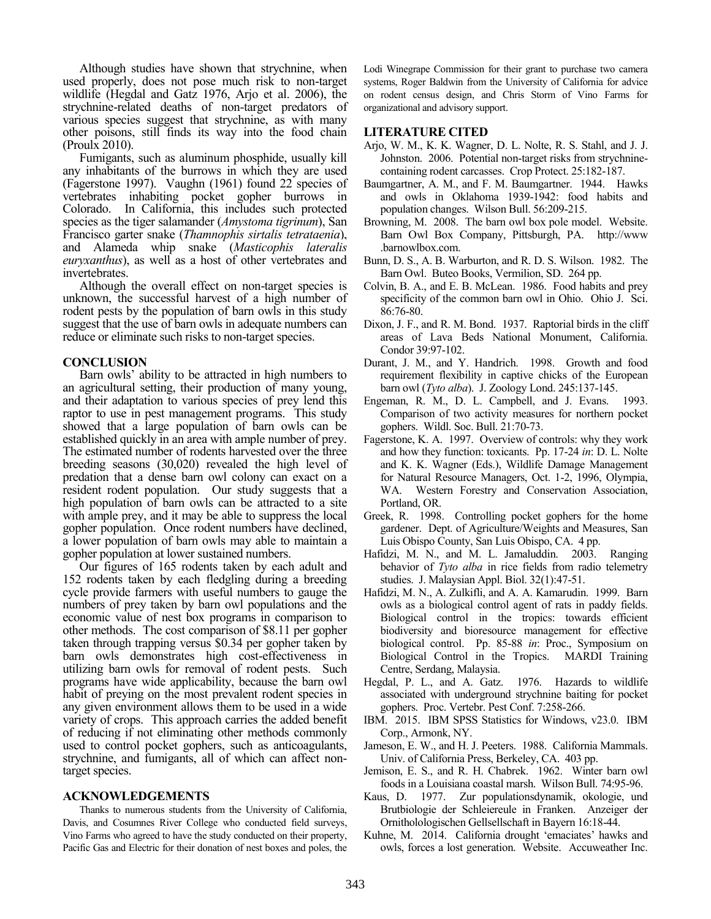Although studies have shown that strychnine, when used properly, does not pose much risk to non-target wildlife (Hegdal and Gatz 1976, Arjo et al. 2006), the strychnine-related deaths of non-target predators of various species suggest that strychnine, as with many other poisons, still finds its way into the food chain (Proulx 2010).

Fumigants, such as aluminum phosphide, usually kill any inhabitants of the burrows in which they are used (Fagerstone 1997). Vaughn (1961) found 22 species of vertebrates inhabiting pocket gopher burrows in Colorado. In California, this includes such protected species as the tiger salamander (*Amystoma tigrinum*), San Francisco garter snake (*Thamnophis sirtalis tetrataenia*), and Alameda whip snake (*Masticophis lateralis euryxanthus*), as well as a host of other vertebrates and invertebrates.

Although the overall effect on non-target species is unknown, the successful harvest of a high number of rodent pests by the population of barn owls in this study suggest that the use of barn owls in adequate numbers can reduce or eliminate such risks to non-target species.

## **CONCLUSION**

Barn owls' ability to be attracted in high numbers to an agricultural setting, their production of many young, and their adaptation to various species of prey lend this raptor to use in pest management programs. This study showed that a large population of barn owls can be established quickly in an area with ample number of prey. The estimated number of rodents harvested over the three breeding seasons (30,020) revealed the high level of predation that a dense barn owl colony can exact on a resident rodent population. Our study suggests that a high population of barn owls can be attracted to a site with ample prey, and it may be able to suppress the local gopher population. Once rodent numbers have declined, a lower population of barn owls may able to maintain a gopher population at lower sustained numbers.

Our figures of 165 rodents taken by each adult and 152 rodents taken by each fledgling during a breeding cycle provide farmers with useful numbers to gauge the numbers of prey taken by barn owl populations and the economic value of nest box programs in comparison to other methods. The cost comparison of \$8.11 per gopher taken through trapping versus \$0.34 per gopher taken by barn owls demonstrates high cost-effectiveness in utilizing barn owls for removal of rodent pests. Such programs have wide applicability, because the barn owl habit of preying on the most prevalent rodent species in any given environment allows them to be used in a wide variety of crops. This approach carries the added benefit of reducing if not eliminating other methods commonly used to control pocket gophers, such as anticoagulants, strychnine, and fumigants, all of which can affect nontarget species.

## **ACKNOWLEDGEMENTS**

Thanks to numerous students from the University of California, Davis, and Cosumnes River College who conducted field surveys, Vino Farms who agreed to have the study conducted on their property, Pacific Gas and Electric for their donation of nest boxes and poles, the Lodi Winegrape Commission for their grant to purchase two camera systems, Roger Baldwin from the University of California for advice on rodent census design, and Chris Storm of Vino Farms for organizational and advisory support.

## **LITERATURE CITED**

- Arjo, W. M., K. K. Wagner, D. L. Nolte, R. S. Stahl, and J. J. Johnston. 2006. Potential non-target risks from strychninecontaining rodent carcasses. Crop Protect. 25:182-187.
- Baumgartner, A. M., and F. M. Baumgartner. 1944. Hawks and owls in Oklahoma 1939-1942: food habits and population changes. Wilson Bull. 56:209-215.
- Browning, M. 2008. The barn owl box pole model. Website. Barn Owl Box Company, Pittsburgh, PA. http://www .barnowlbox.com.
- Bunn, D. S., A. B. Warburton, and R. D. S. Wilson. 1982. The Barn Owl. Buteo Books, Vermilion, SD. 264 pp.
- Colvin, B. A., and E. B. McLean. 1986. Food habits and prey specificity of the common barn owl in Ohio. Ohio J. Sci. 86:76-80.
- Dixon, J. F., and R. M. Bond. 1937. Raptorial birds in the cliff areas of Lava Beds National Monument, California. Condor 39:97-102.
- Durant, J. M., and Y. Handrich. 1998. Growth and food requirement flexibility in captive chicks of the European barn owl (*Tyto alba*). J. Zoology Lond. 245:137-145.
- Engeman, R. M., D. L. Campbell, and J. Evans. 1993. Comparison of two activity measures for northern pocket gophers. Wildl. Soc. Bull. 21:70-73.
- Fagerstone, K. A. 1997. Overview of controls: why they work and how they function: toxicants. Pp. 17-24 *in*: D. L. Nolte and K. K. Wagner (Eds.), Wildlife Damage Management for Natural Resource Managers, Oct. 1-2, 1996, Olympia, WA. Western Forestry and Conservation Association, Portland, OR.
- Greek, R. 1998. Controlling pocket gophers for the home gardener. Dept. of Agriculture/Weights and Measures, San Luis Obispo County, San Luis Obispo, CA. 4 pp.
- Hafidzi, M. N., and M. L. Jamaluddin. 2003. Ranging behavior of *Tyto alba* in rice fields from radio telemetry studies. J. Malaysian Appl. Biol. 32(1):47-51.
- Hafidzi, M. N., A. Zulkifli, and A. A. Kamarudin. 1999. Barn owls as a biological control agent of rats in paddy fields. Biological control in the tropics: towards efficient biodiversity and bioresource management for effective biological control. Pp. 85-88 *in*: Proc., Symposium on Biological Control in the Tropics. MARDI Training Centre, Serdang, Malaysia.
- Hegdal, P. L., and A. Gatz. 1976. Hazards to wildlife associated with underground strychnine baiting for pocket gophers. Proc. Vertebr. Pest Conf. 7:258-266.
- IBM. 2015. IBM SPSS Statistics for Windows, v23.0. IBM Corp., Armonk, NY.
- Jameson, E. W., and H. J. Peeters. 1988. California Mammals. Univ. of California Press, Berkeley, CA. 403 pp.
- Jemison, E. S., and R. H. Chabrek. 1962. Winter barn owl foods in a Louisiana coastal marsh. Wilson Bull. 74:95-96.
- Kaus, D. 1977. Zur populationsdynamik, okologie, und Brutbiologie der Schleiereule in Franken. Anzeiger der Ornitholologischen Gellsellschaft in Bayern 16:18-44.
- Kuhne, M. 2014. California drought 'emaciates' hawks and owls, forces a lost generation. Website. Accuweather Inc.